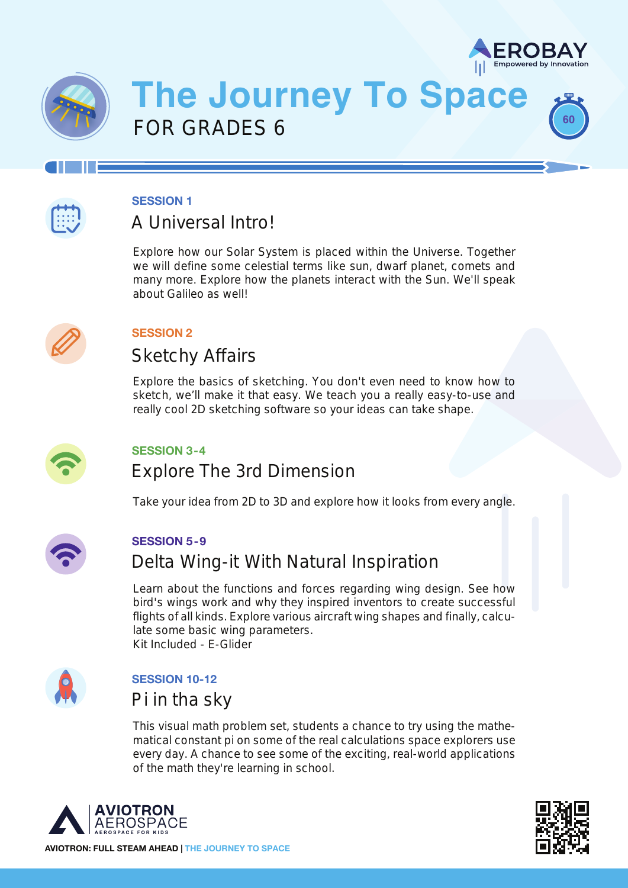

**60**



# **The Journey To Space** FOR GRADES 6



#### **SESSION 1**

### A Universal Intro!

Explore how our Solar System is placed within the Universe. Together we will define some celestial terms like sun, dwarf planet, comets and many more. Explore how the planets interact with the Sun. We'll speak about Galileo as well!



### **SESSION 2**

### Sketchy Affairs

Explore the basics of sketching. You don't even need to know how to sketch, we'll make it that easy. We teach you a really easy-to-use and really cool 2D sketching software so your ideas can take shape.



### **SESSION 3-4**

### Explore The 3rd Dimension

Take your idea from 2D to 3D and explore how it looks from every angle.



#### **SESSION 5-9**

### Delta Wing-it With Natural Inspiration

Learn about the functions and forces regarding wing design. See how bird's wings work and why they inspired inventors to create successful flights of all kinds. Explore various aircraft wing shapes and finally, calculate some basic wing parameters. Kit Included - E-Glider



### **SESSION 10-12**

### Pi in tha sky

This visual math problem set, students a chance to try using the mathematical constant pi on some of the real calculations space explorers use every day. A chance to see some of the exciting, real-world applications of the math they're learning in school.



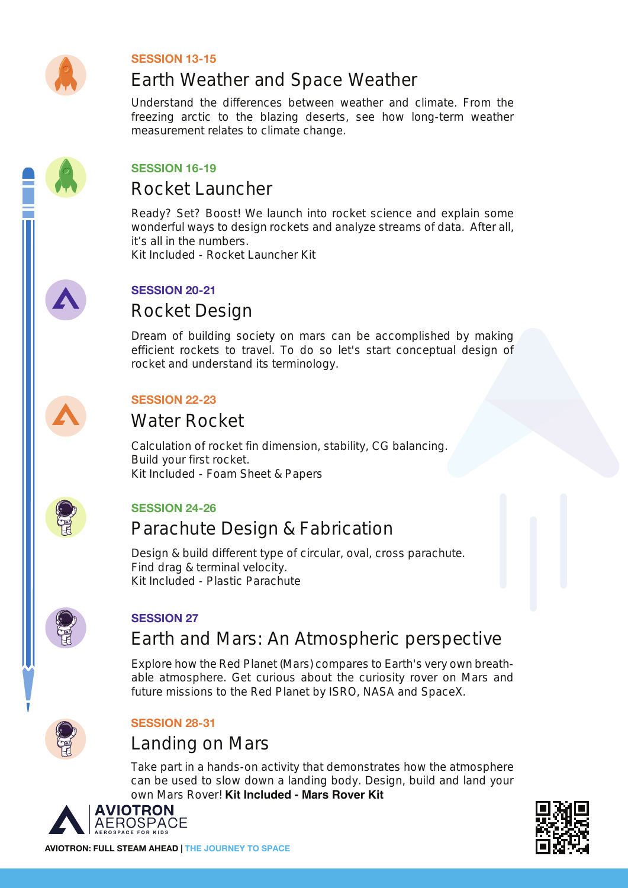

#### **SESSION 13-15**

# Earth Weather and Space Weather

Understand the differences between weather and climate. From the freezing arctic to the blazing deserts, see how long-term weather measurement relates to climate change.



#### **SESSION 16-19**

### Rocket Launcher

Ready? Set? Boost! We launch into rocket science and explain some wonderful ways to design rockets and analyze streams of data. After all, it's all in the numbers.

Kit Included - Rocket Launcher Kit



### **SESSION 20-21**

### Rocket Design

Dream of building society on mars can be accomplished by making efficient rockets to travel. To do so let's start conceptual design of rocket and understand its terminology.



### **SESSION 22-23**

### Water Rocket

Calculation of rocket fin dimension, stability, CG balancing. Build your first rocket. Kit Included - Foam Sheet & Papers



### **SESSION 24-26**

### Parachute Design & Fabrication

Design & build different type of circular, oval, cross parachute. Find drag & terminal velocity. Kit Included - Plastic Parachute



### **SESSION 27**

### Earth and Mars: An Atmospheric perspective

Explore how the Red Planet (Mars) compares to Earth's very own breathable atmosphere. Get curious about the curiosity rover on Mars and future missions to the Red Planet by ISRO, NASA and SpaceX.



### **SESSION 28-31**

### Landing on Mars

Take part in a hands-on activity that demonstrates how the atmosphere can be used to slow down a landing body. Design, build and land your own Mars Rover! **Kit Included - Mars Rover Kit**



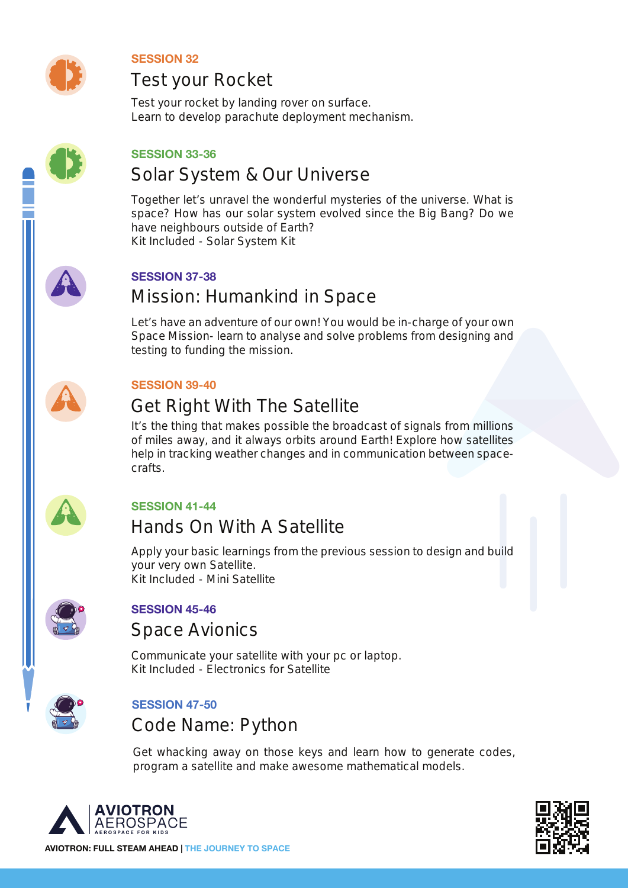

**SESSION 32**

### Test your Rocket

Test your rocket by landing rover on surface. Learn to develop parachute deployment mechanism.



#### **SESSION 33-36**

### Solar System & Our Universe

Together let's unravel the wonderful mysteries of the universe. What is space? How has our solar system evolved since the Big Bang? Do we have neighbours outside of Earth? Kit Included - Solar System Kit



#### **SESSION 37-38**

# Mission: Humankind in Space

Let's have an adventure of our own! You would be in-charge of your own Space Mission- learn to analyse and solve problems from designing and testing to funding the mission.



#### **SESSION 39-40**

# Get Right With The Satellite

It's the thing that makes possible the broadcast of signals from millions of miles away, and it always orbits around Earth! Explore how satellites help in tracking weather changes and in communication between spacecrafts.



### **SESSION 41-44**

# Hands On With A Satellite

Apply your basic learnings from the previous session to design and build your very own Satellite. Kit Included - Mini Satellite



### **SESSION 45-46**

### Space Avionics

Communicate your satellite with your pc or laptop. Kit Included - Electronics for Satellite



### **SESSION 47-50**

Code Name: Python

Get whacking away on those keys and learn how to generate codes, program a satellite and make awesome mathematical models.